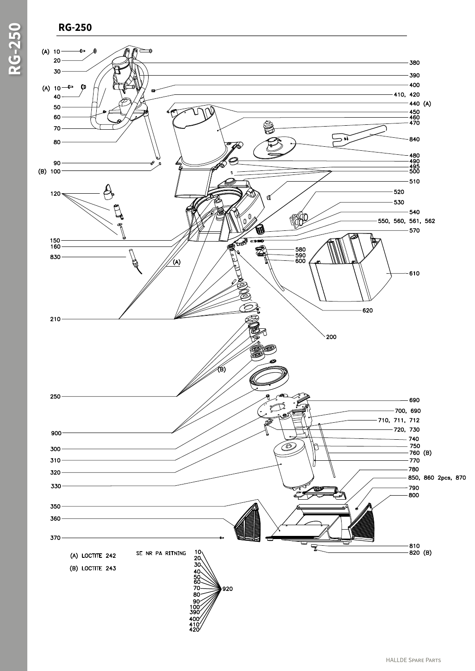## **RG-250**

**RG-250**

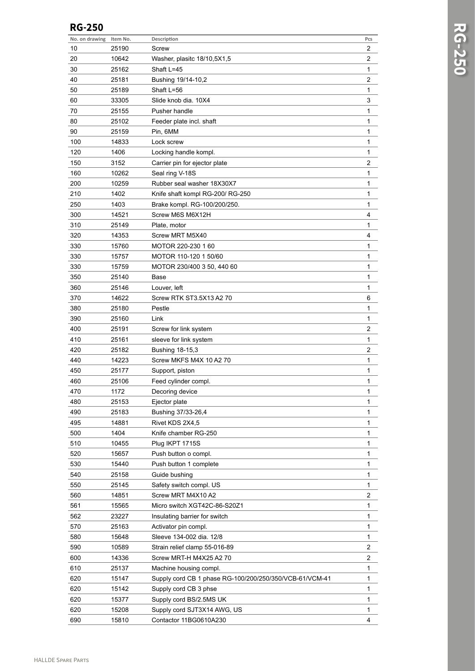## **RG-250**

| No. on drawing | Item No. | Description                                             | Pcs            |
|----------------|----------|---------------------------------------------------------|----------------|
| 10             | 25190    | Screw                                                   | 2              |
| 20             | 10642    | Washer, plasitc 18/10,5X1,5                             | 2              |
| 30             | 25162    | Shaft L=45                                              | 1              |
| 40             | 25181    | Bushing 19/14-10,2                                      | 2              |
| 50             | 25189    | Shaft L=56                                              | 1              |
| 60             | 33305    | Slide knob dia. 10X4                                    | 3              |
| 70             | 25155    | Pusher handle                                           | 1              |
| 80             | 25102    | Feeder plate incl. shaft                                | 1              |
| 90             | 25159    | Pin, 6MM                                                | 1              |
| 100            | 14833    | Lock screw                                              | 1              |
| 120            | 1406     | Locking handle kompl.                                   | 1              |
| 150            | 3152     | Carrier pin for ejector plate                           | 2              |
| 160            | 10262    | Seal ring V-18S                                         | 1              |
| 200            | 10259    | Rubber seal washer 18X30X7                              | 1              |
| 210            | 1402     | Knife shaft kompl RG-200/ RG-250                        | 1              |
| 250            | 1403     | Brake kompl. RG-100/200/250.                            | 1              |
| 300            | 14521    | Screw M6S M6X12H                                        | 4              |
| 310            | 25149    | Plate, motor                                            | 1              |
| 320            | 14353    | Screw MRT M5X40                                         | 4              |
| 330            | 15760    | MOTOR 220-230 1 60                                      | 1              |
| 330            | 15757    | MOTOR 110-120 1 50/60                                   | 1              |
| 330            | 15759    | MOTOR 230/400 3 50, 440 60                              | 1              |
| 350            | 25140    | Base                                                    | 1              |
| 360            | 25146    | Louver, left                                            | 1              |
| 370            | 14622    | Screw RTK ST3.5X13 A2 70                                | 6              |
|                |          |                                                         |                |
| 380            | 25180    | Pestle                                                  | 1              |
| 390<br>400     | 25160    | Link                                                    | 1<br>2         |
|                | 25191    | Screw for link system                                   |                |
| 410            | 25161    | sleeve for link system                                  | 1              |
| 420            | 25182    | Bushing 18-15,3                                         | 2              |
| 440            | 14223    | Screw MKFS M4X 10 A2 70                                 | 1              |
| 450            | 25177    | Support, piston                                         | 1              |
| 460            | 25106    | Feed cylinder compl.                                    | 1              |
| 470            | 1172     | Decoring device                                         | 1              |
| 480            | 25153    | Ejector plate                                           | 1              |
| 490            | 25183    | Bushing 37/33-26,4                                      | 1              |
| 495            | 14881    | Rivet KDS 2X4,5                                         | 1              |
| 500            | 1404     | Knife chamber RG-250                                    | 1              |
| 510            | 10455    | Plug IKPT 1715S                                         | 1              |
| 520            | 15657    | Push button o compl.                                    | 1              |
| 530            | 15440    | Push button 1 complete                                  | 1              |
| 540            | 25158    | Guide bushing                                           | 1              |
| 550            | 25145    | Safety switch compl. US                                 | 1              |
| 560            | 14851    | Screw MRT M4X10 A2                                      | 2              |
| 561            | 15565    | Micro switch XGT42C-86-S20Z1                            | 1              |
| 562            | 23227    | Insulating barrier for switch                           | 1              |
| 570            | 25163    | Activator pin compl.                                    | 1              |
| 580            | 15648    | Sleeve 134-002 dia. 12/8                                | 1              |
| 590            | 10589    | Strain relief clamp 55-016-89                           | 2              |
| 600            | 14336    | Screw MRT-H M4X25 A2 70                                 | $\overline{a}$ |
| 610            | 25137    | Machine housing compl.                                  | 1              |
| 620            | 15147    | Supply cord CB 1 phase RG-100/200/250/350/VCB-61/VCM-41 | 1              |
| 620            | 15142    | Supply cord CB 3 phse                                   | 1              |
| 620            | 15377    | Supply cord BS/2.5MS UK                                 | 1              |
| 620            | 15208    | Supply cord SJT3X14 AWG, US                             | 1              |
| 690            | 15810    | Contactor 11BG0610A230                                  | 4              |